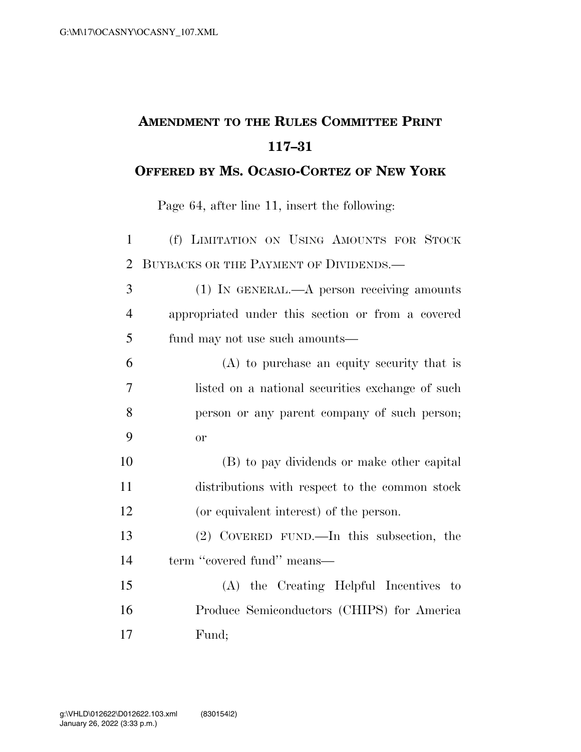## **AMENDMENT TO THE RULES COMMITTEE PRINT 117–31**

## **OFFERED BY MS. OCASIO-CORTEZ OF NEW YORK**

Page 64, after line 11, insert the following:

 (f) LIMITATION ON USING AMOUNTS FOR STOCK 2 BUYBACKS OR THE PAYMENT OF DIVIDENDS.— (1) IN GENERAL.—A person receiving amounts appropriated under this section or from a covered fund may not use such amounts— (A) to purchase an equity security that is listed on a national securities exchange of such person or any parent company of such person; or (B) to pay dividends or make other capital distributions with respect to the common stock (or equivalent interest) of the person. (2) COVERED FUND.—In this subsection, the 14 term "covered fund" means— (A) the Creating Helpful Incentives to Produce Semiconductors (CHIPS) for America Fund;